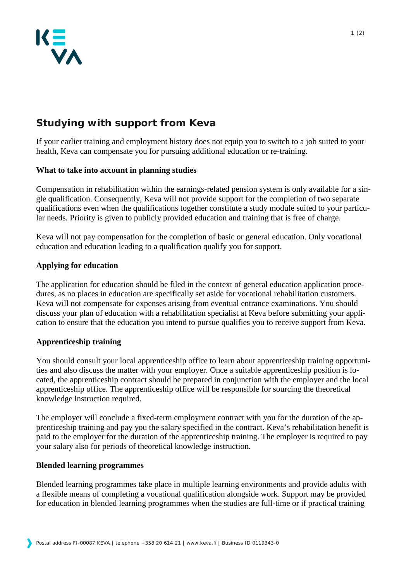

# **Studying with support from Keva**

If your earlier training and employment history does not equip you to switch to a job suited to your health, Keva can compensate you for pursuing additional education or re-training.

# **What to take into account in planning studies**

Compensation in rehabilitation within the earnings-related pension system is only available for a single qualification. Consequently, Keva will not provide support for the completion of two separate qualifications even when the qualifications together constitute a study module suited to your particular needs. Priority is given to publicly provided education and training that is free of charge.

Keva will not pay compensation for the completion of basic or general education. Only vocational education and education leading to a qualification qualify you for support.

# **Applying for education**

The application for education should be filed in the context of general education application procedures, as no places in education are specifically set aside for vocational rehabilitation customers. Keva will not compensate for expenses arising from eventual entrance examinations. You should discuss your plan of education with a rehabilitation specialist at Keva before submitting your application to ensure that the education you intend to pursue qualifies you to receive support from Keva.

### **Apprenticeship training**

You should consult your local apprenticeship office to learn about apprenticeship training opportunities and also discuss the matter with your employer. Once a suitable apprenticeship position is located, the apprenticeship contract should be prepared in conjunction with the employer and the local apprenticeship office. The apprenticeship office will be responsible for sourcing the theoretical knowledge instruction required.

The employer will conclude a fixed-term employment contract with you for the duration of the apprenticeship training and pay you the salary specified in the contract. Keva's rehabilitation benefit is paid to the employer for the duration of the apprenticeship training. The employer is required to pay your salary also for periods of theoretical knowledge instruction.

### **Blended learning programmes**

Blended learning programmes take place in multiple learning environments and provide adults with a flexible means of completing a vocational qualification alongside work. Support may be provided for education in blended learning programmes when the studies are full-time or if practical training